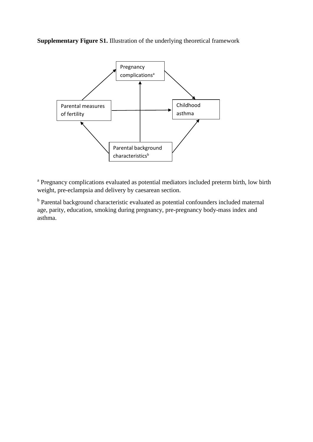**Supplementary Figure S1.** Illustration of the underlying theoretical framework



<sup>a</sup> Pregnancy complications evaluated as potential mediators included preterm birth, low birth weight, pre-eclampsia and delivery by caesarean section.

<sup>b</sup> Parental background characteristic evaluated as potential confounders included maternal age, parity, education, smoking during pregnancy, pre-pregnancy body-mass index and asthma.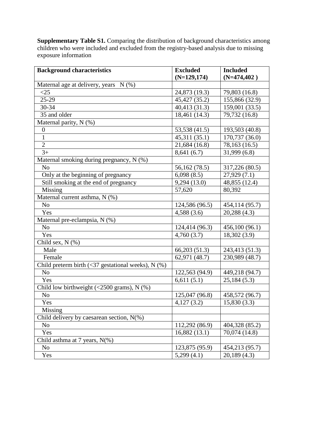**Supplementary Table S1.** Comparing the distribution of background characteristics among children who were included and excluded from the registry-based analysis due to missing exposure information

| <b>Background characteristics</b>                            | <b>Excluded</b>           | <b>Included</b> |
|--------------------------------------------------------------|---------------------------|-----------------|
|                                                              | $(N=129, 174)$            | $(N=474,402)$   |
| Maternal age at delivery, years N (%)                        |                           |                 |
| $\leq$ 25                                                    | 24,873 (19.3)             | 79,803 (16.8)   |
| $25-29$                                                      | 45,427 (35.2)             | 155,866 (32.9)  |
| 30-34                                                        | 40,413 (31.3)             | 159,001 (33.5)  |
| 35 and older                                                 | 18,461 (14.3)             | 79,732 (16.8)   |
| Maternal parity, N (%)                                       |                           |                 |
| $\boldsymbol{0}$                                             | 53,538 (41.5)             | 193,503 (40.8)  |
| $\mathbf{1}$                                                 | 45,311(35.1)              | 170,737 (36.0)  |
| $\mathbf{2}$                                                 | 21,684 (16.8)             | 78,163 (16.5)   |
| $3+$                                                         | 8,641(6.7)                | 31,999(6.8)     |
| Maternal smoking during pregnancy, N (%)                     |                           |                 |
| N <sub>o</sub>                                               | 56,162 (78.5)             | 317,226 (80.5)  |
| Only at the beginning of pregnancy                           | 6,098(8.5)                | 27,929(7.1)     |
| Still smoking at the end of pregnancy                        | 9,294 (13.0)              | 48,855 (12.4)   |
| Missing                                                      | 57,620                    | 80,392          |
| Maternal current asthma, N (%)                               |                           |                 |
| N <sub>o</sub>                                               | 124,586 (96.5)            | 454,114 (95.7)  |
| Yes                                                          | 4,588(3.6)                | 20,288(4.3)     |
| Maternal pre-eclampsia, N (%)                                |                           |                 |
| N <sub>o</sub>                                               | 124,414 (96.3)            | 456,100(96.1)   |
| Yes                                                          | 4,760(3.7)                | 18,302 (3.9)    |
| Child sex, $N$ $(\%)$                                        |                           |                 |
| Male                                                         | 66,203 (51.3)             | 243,413 (51.3)  |
| Female                                                       | 62,971 (48.7)             | 230,989 (48.7)  |
| Child preterm birth $(\leq 37$ gestational weeks), N $(\%)$  |                           |                 |
| N <sub>o</sub>                                               | 122,563 (94.9)            | 449,218 (94.7)  |
| Yes                                                          | 6,611(5.1)                | 25,184(5.3)     |
| Child low birthweight $(\leq 2500 \text{ grams})$ , N $(\%)$ |                           |                 |
| N <sub>0</sub>                                               | 125,047 (96.8)            | 458,572 (96.7)  |
| Yes                                                          | $\overline{4,1}$ 27 (3.2) | 15,830(3.3)     |
| Missing                                                      |                           |                 |
| Child delivery by caesarean section, $N(\%)$                 |                           |                 |
| N <sub>o</sub>                                               | 112,292 (86.9)            | 404,328 (85.2)  |
| Yes                                                          | 16,882(13.1)              | 70,074 (14.8)   |
| Child asthma at 7 years, $N(\%)$                             |                           |                 |
| N <sub>0</sub>                                               | 123,875 (95.9)            | 454,213 (95.7)  |
| Yes                                                          | 5,299(4.1)                | 20,189(4.3)     |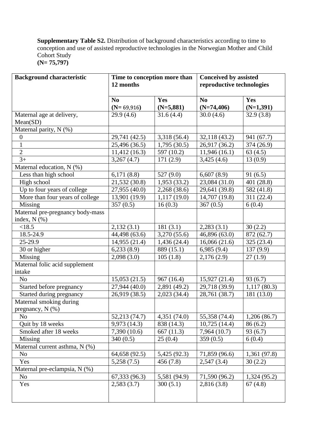**Supplementary Table S2.** Distribution of background characteristics according to time to conception and use of assisted reproductive technologies in the Norwegian Mother and Child Cohort Study **(N= 75,797)**

| <b>Background characteristic</b>                 | Time to conception more than<br>12 months |                           | <b>Conceived by assisted</b><br>reproductive technologies |              |
|--------------------------------------------------|-------------------------------------------|---------------------------|-----------------------------------------------------------|--------------|
|                                                  | N <sub>0</sub>                            | Yes                       | N <sub>0</sub>                                            | Yes          |
|                                                  | $(N=69,916)$                              | $(N=5,881)$               | $(N=74,406)$                                              | $(N=1,391)$  |
| Maternal age at delivery,                        | 29.9(4.6)                                 | 31.6(4.4)                 | 30.0(4.6)                                                 | 32.9(3.8)    |
| Mean(SD)                                         |                                           |                           |                                                           |              |
| Maternal parity, N (%)                           |                                           |                           |                                                           |              |
| $\boldsymbol{0}$                                 | 29,741 (42.5)                             | 3,318 (56.4)              | 32,118(43.2)                                              | 941 (67.7)   |
| $\mathbf{1}$                                     | 25,496 (36.5)                             | 1,795(30.5)               | 26,917 (36.2)                                             | 374 (26.9)   |
| $\overline{2}$                                   | 11,412(16.3)                              | 597 (10.2)                | 11,946(16.1)                                              | 63(4.5)      |
| $3+$                                             | 3,267(4.7)                                | 171(2.9)                  | 3,425(4.6)                                                | 13(0.9)      |
| Maternal education, N (%)                        |                                           |                           |                                                           |              |
| Less than high school                            | 6,171(8.8)                                | 527(9.0)                  | 6,607(8.9)                                                | 91(6.5)      |
| High school                                      | 21,532 (30.8)                             | 1,953(33.2)               | 23,084 (31.0)                                             | 401 (28.8)   |
| Up to four years of college                      | 27,955 (40.0)                             | 2,268(38.6)               | 29,641 (39.8)                                             | 582 (41.8)   |
| More than four years of college                  | 13,901 (19.9)                             | 1,117(19.0)               | 14,707 (19.8)                                             | 311 (22.4)   |
| Missing                                          | 357(0.5)                                  | 16(0.3)                   | 367(0.5)                                                  | 6(0.4)       |
| Maternal pre-pregnancy body-mass<br>index, N (%) |                                           |                           |                                                           |              |
| < 18.5                                           | 2,132(3.1)                                | 181(3.1)                  | 2,283(3.1)                                                | 30(2.2)      |
| 18.5-24.9                                        | 44,498 (63.6)                             | 3,270(55.6)               | 46,896 (63.0)                                             | 872 (62.7)   |
| 25-29.9                                          | 14,955 (21.4)                             | $\overline{1,436}$ (24.4) | 16,066(21.6)                                              | 325 (23.4)   |
| 30 or higher                                     | 6,233(8.9)                                | 889 (15.1)                | 6,985(9.4)                                                | 137(9.9)     |
| Missing                                          | 2,098(3.0)                                | 105(1.8)                  | 2,176(2.9)                                                | 27(1.9)      |
| Maternal folic acid supplement                   |                                           |                           |                                                           |              |
| intake                                           |                                           |                           |                                                           |              |
| N <sub>o</sub>                                   | 15,053(21.5)                              | 967 (16.4)                | 15,927(21.4)                                              | 93 (6.7)     |
| Started before pregnancy                         | 27,944 (40.0)                             | 2,891 (49.2)              | 29,718 (39.9)                                             | 1,117(80.3)  |
| Started during pregnancy                         | 26,919 (38.5)                             | 2,023 (34.4)              | 28,761 (38.7)                                             | 181 (13.0)   |
| Maternal smoking during                          |                                           |                           |                                                           |              |
| pregnancy, $N$ (%)                               |                                           |                           |                                                           |              |
| N <sub>o</sub>                                   | 52,213 (74.7)                             | 4,351(74.0)               | 55,358 (74.4)                                             | 1,206(86.7)  |
| Quit by 18 weeks                                 | 9,973 (14.3)                              | 838 (14.3)                | 10,725(14.4)                                              | 86(6.2)      |
| Smoked after 18 weeks                            | 7,390 (10.6)                              | 667(11.3)                 | 7,964 (10.7)                                              | 93(6.7)      |
| Missing                                          | 340(0.5)                                  | 25(0.4)                   | 359(0.5)                                                  | 6(0.4)       |
| Maternal current asthma, N (%)                   |                                           |                           |                                                           |              |
| No                                               | 64,658 (92.5)                             | 5,425 (92.3)              | 71,859 (96.6)                                             | 1,361 (97.8) |
| Yes                                              | 5,258(7.5)                                | 456(7.8)                  | 2,547(3.4)                                                | 30(2.2)      |
| Maternal pre-eclampsia, N (%)                    |                                           |                           |                                                           |              |
| N <sub>0</sub>                                   | 67,333 (96.3)                             | 5,581 (94.9)              | 71,590 (96.2)                                             | 1,324(95.2)  |
| Yes                                              | 2,583(3.7)                                | 300(5.1)                  | 2,816(3.8)                                                | 67(4.8)      |
|                                                  |                                           |                           |                                                           |              |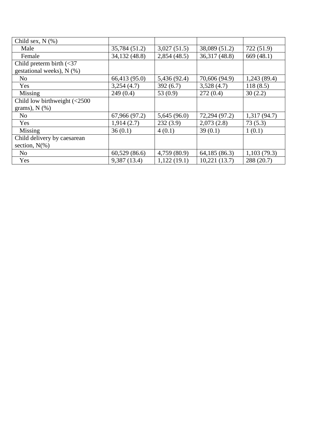| Child sex, $N$ $(\%)$                         |               |              |               |              |
|-----------------------------------------------|---------------|--------------|---------------|--------------|
| Male                                          | 35,784 (51.2) | 3,027(51.5)  | 38,089 (51.2) | 722 (51.9)   |
| Female                                        | 34,132 (48.8) | 2,854(48.5)  | 36,317 (48.8) | 669 $(48.1)$ |
| Child preterm birth $\left( < 37 \right)$     |               |              |               |              |
| gestational weeks), N (%)                     |               |              |               |              |
| N <sub>o</sub>                                | 66,413 (95.0) | 5,436 (92.4) | 70,606 (94.9) | 1,243(89.4)  |
| Yes                                           | 3,254(4.7)    | 392(6.7)     | 3,528(4.7)    | 118(8.5)     |
| Missing                                       | 249(0.4)      | 53 $(0.9)$   | 272(0.4)      | 30(2.2)      |
| Child low birthweight $\left( < 2500 \right)$ |               |              |               |              |
| grams), $N$ $(\%)$                            |               |              |               |              |
| N <sub>o</sub>                                | 67,966 (97.2) | 5,645(96.0)  | 72,294 (97.2) | 1,317(94.7)  |
| Yes                                           | 1,914(2.7)    | 232(3.9)     | 2,073(2.8)    | 73(5.3)      |
| Missing                                       | 36(0.1)       | 4(0.1)       | 39(0.1)       | 1(0.1)       |
| Child delivery by caesarean                   |               |              |               |              |
| section, $N(\%)$                              |               |              |               |              |
| N <sub>o</sub>                                | 60,529(86.6)  | 4,759 (80.9) | 64,185 (86.3) | 1,103(79.3)  |
| Yes                                           | 9,387(13.4)   | 1,122(19.1)  | 10,221(13.7)  | 288 (20.7)   |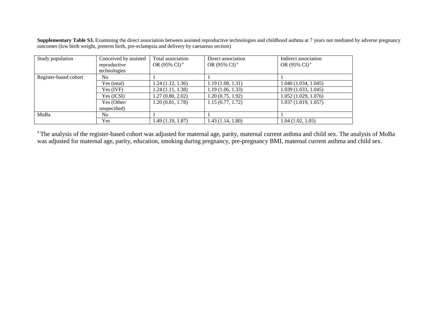**Supplementary Table S3.** Examining the direct association between assisted reproductive technologies and childhood asthma at 7 years not mediated by adverse pregnancy outcomes (low birth weight, preterm birth, pre-eclampsia and delivery by caesarean section)

| Study population      | Conceived by assisted | Total association        | Direct association       | Indirect association     |
|-----------------------|-----------------------|--------------------------|--------------------------|--------------------------|
|                       | reproductive          | OR (95% CI) <sup>a</sup> | OR (95% CI) <sup>a</sup> | OR (95% CI) <sup>a</sup> |
|                       | technologies          |                          |                          |                          |
| Register-based cohort | N <sub>0</sub>        |                          |                          |                          |
|                       | Yes (total)           | 1.24(1.12, 1.36)         | 1.19(1.08, 1.31)         | 1.040(1.034, 1.045)      |
|                       | Yes (IVF)             | 1.24(1.11, 1.38)         | 1.19(1.06, 1.33)         | 1.039 (1.033, 1.045)     |
|                       | Yes (ICSI)            | 1.27(0.80, 2.02)         | 1.20(0.75, 1.92)         | 1.052(1.029, 1.076)      |
|                       | Yes (Other/           | 1.20(0.81, 1.78)         | 1.15(0.77, 1.72)         | 1.037(1.019, 1.057)      |
|                       | unspecified)          |                          |                          |                          |
| MoBa                  | N <sub>0</sub>        |                          |                          |                          |
|                       | Yes                   | 1.49(1.19, 1.87)         | 1.43(1.14, 1.80)         | 1.04(1.02, 1.05)         |

<sup>a</sup>The analysis of the register-based cohort was adjusted for maternal age, parity, maternal current asthma and child sex. The analysis of MoBa was adjusted for maternal age, parity, education, smoking during pregnancy, pre-pregnancy BMI, maternal current asthma and child sex.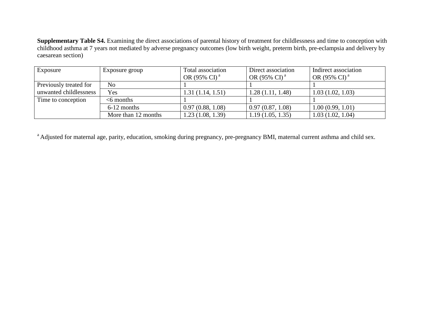**Supplementary Table S4.** Examining the direct associations of parental history of treatment for childlessness and time to conception with childhood asthma at 7 years not mediated by adverse pregnancy outcomes (low birth weight, preterm birth, pre-eclampsia and delivery by caesarean section)

| Exposure               | Exposure group      | Total association<br>OR (95% CI) <sup>a</sup> | Direct association<br>OR (95% CI) <sup>a</sup> | Indirect association<br>OR (95% CI) <sup>a</sup> |
|------------------------|---------------------|-----------------------------------------------|------------------------------------------------|--------------------------------------------------|
| Previously treated for | No                  |                                               |                                                |                                                  |
| unwanted childlessness | Yes                 | 1.31(1.14, 1.51)                              | 1.28(1.11, 1.48)                               | 1.03(1.02, 1.03)                                 |
| Time to conception     | $<$ 6 months        |                                               |                                                |                                                  |
|                        | 6-12 months         | 0.97(0.88, 1.08)                              | 0.97(0.87, 1.08)                               | 1.00(0.99, 1.01)                                 |
|                        | More than 12 months | 1.23(1.08, 1.39)                              | 1.19(1.05, 1.35)                               | 1.03(1.02, 1.04)                                 |

<sup>a</sup> Adjusted for maternal age, parity, education, smoking during pregnancy, pre-pregnancy BMI, maternal current asthma and child sex.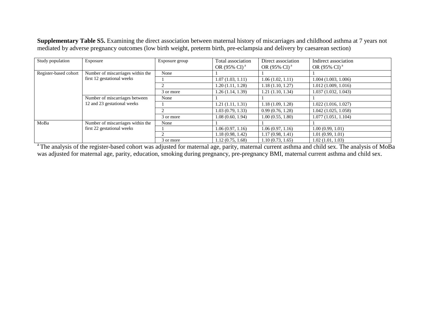**Supplementary Table S5.** Examining the direct association between maternal history of miscarriages and childhood asthma at 7 years not mediated by adverse pregnancy outcomes (low birth weight, preterm birth, pre-eclampsia and delivery by caesarean section)

| Study population      | Exposure                          | Exposure group | Total association        | Direct association       | Indirect association     |
|-----------------------|-----------------------------------|----------------|--------------------------|--------------------------|--------------------------|
|                       |                                   |                | OR $(95\% \text{ CI})^4$ | OR $(95\% \text{ CI})^4$ | OR (95% CI) <sup>a</sup> |
| Register-based cohort | Number of miscarriages within the | None           |                          |                          |                          |
|                       | first 12 gestational weeks        |                | 1.07(1.03, 1.11)         | 1.06(1.02, 1.11)         | 1.004(1.003, 1.006)      |
|                       |                                   |                | 1.20(1.11, 1.28)         | 1.18(1.10, 1.27)         | 1.012(1.009, 1.016)      |
|                       |                                   | 3 or more      | 1.26(1.14, 1.39)         | 1.21(1.10, 1.34)         | 1.037(1.032, 1.043)      |
|                       | Number of miscarriages between    | None           |                          |                          |                          |
|                       | 12 and 23 gestational weeks       |                | 1.21(1.11, 1.31)         | 1.18(1.09, 1.28)         | 1.022(1.016, 1.027)      |
|                       |                                   |                | 1.03(0.79, 1.33)         | 0.99(0.76, 1.28)         | 1.042(1.025, 1.058)      |
|                       |                                   | 3 or more      | 1.08(0.60, 1.94)         | 1.00(0.55, 1.80)         | 1.077(1.051, 1.104)      |
| MoBa                  | Number of miscarriages within the | None           |                          |                          |                          |
|                       | first 22 gestational weeks        |                | 1.06(0.97, 1.16)         | 1.06(0.97, 1.16)         | 1.00(0.99, 1.01)         |
|                       |                                   |                | 1.18(0.98, 1.42)         | 1.17(0.98, 1.41)         | 1.01(0.99, 1.01)         |
|                       |                                   | 3 or more      | 1.12(0.75, 1.68)         | 1.10(0.73, 1.65)         | 1.02(1.01, 1.03)         |

<sup>a</sup>The analysis of the register-based cohort was adjusted for maternal age, parity, maternal current asthma and child sex. The analysis of MoBa was adjusted for maternal age, parity, education, smoking during pregnancy, pre-pregnancy BMI, maternal current asthma and child sex.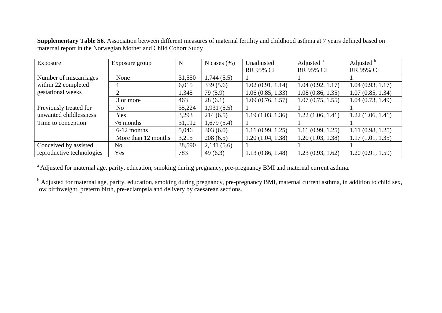| Exposure                  | Exposure group      | N      | N cases $(\%)$ | Unadjusted       | Adjusted <sup>a</sup> | Adjusted <sup>b</sup> |
|---------------------------|---------------------|--------|----------------|------------------|-----------------------|-----------------------|
|                           |                     |        |                | <b>RR 95% CI</b> | <b>RR 95% CI</b>      | <b>RR 95% CI</b>      |
| Number of miscarriages    | None                | 31,550 | 1,744(5.5)     |                  |                       |                       |
| within 22 completed       |                     | 6,015  | 339(5.6)       | 1.02(0.91, 1.14) | 1.04(0.92, 1.17)      | 1.04(0.93, 1.17)      |
| gestational weeks         |                     | 1,345  | 79(5.9)        | 1.06(0.85, 1.33) | 1.08(0.86, 1.35)      | 1.07(0.85, 1.34)      |
|                           | 3 or more           | 463    | 28(6.1)        | 1.09(0.76, 1.57) | 1.07(0.75, 1.55)      | 1.04(0.73, 1.49)      |
| Previously treated for    | N <sub>o</sub>      | 35,224 | 1,931(5.5)     |                  |                       |                       |
| unwanted childlessness    | Yes                 | 3,293  | 214(6.5)       | 1.19(1.03, 1.36) | 1.22(1.06, 1.41)      | 1.22(1.06, 1.41)      |
| Time to conception        | $<$ 6 months        | 31,112 | 1,679(5.4)     |                  |                       |                       |
|                           | 6-12 months         | 5,046  | 303(6.0)       | 1.11(0.99, 1.25) | 1.11(0.99, 1.25)      | 1.11(0.98, 1.25)      |
|                           | More than 12 months | 3,215  | 208(6.5)       | 1.20(1.04, 1.38) | 1.20(1.03, 1.38)      | 1.17(1.01, 1.35)      |
| Conceived by assisted     | No                  | 38,590 | 2,141(5.6)     |                  |                       |                       |
| reproductive technologies | Yes                 | 783    | 49(6.3)        | 1.13(0.86, 1.48) | 1.23(0.93, 1.62)      | 1.20 (0.91, 1.59)     |

**Supplementary Table S6.** Association between different measures of maternal fertility and childhood asthma at 7 years defined based on maternal report in the Norwegian Mother and Child Cohort Study

<sup>a</sup> Adjusted for maternal age, parity, education, smoking during pregnancy, pre-pregnancy BMI and maternal current asthma.

<sup>b</sup> Adjusted for maternal age, parity, education, smoking during pregnancy, pre-pregnancy BMI, maternal current asthma, in addition to child sex, low birthweight, preterm birth, pre-eclampsia and delivery by caesarean sections.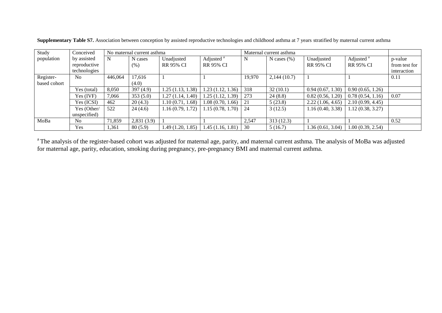| Study        | Conceived      |         | No maternal current asthma |                  |                         | Maternal current asthma |                 |                   |                       |               |
|--------------|----------------|---------|----------------------------|------------------|-------------------------|-------------------------|-----------------|-------------------|-----------------------|---------------|
| population   | by assisted    | N       | N cases                    | Unadjusted       | Adjusted <sup>a</sup>   | N                       | N cases $(\% )$ | Unadjusted        | Adjusted <sup>a</sup> | p-value       |
|              | reproductive   |         | (% )                       | <b>RR 95% CI</b> | <b>RR 95% CI</b>        |                         |                 | <b>RR 95% CI</b>  | <b>RR 95% CI</b>      | from test for |
|              | technologies   |         |                            |                  |                         |                         |                 |                   |                       | interaction   |
| Register-    | N <sub>0</sub> | 446,064 | 17.616                     |                  |                         | 19,970                  | 2,144(10.7)     |                   |                       | 0.11          |
| based cohort |                |         | (4.0)                      |                  |                         |                         |                 |                   |                       |               |
|              | Yes (total)    | 8,050   | 397(4.9)                   | 1.25(1.13, 1.38) | $1.23(1.12, 1.36)$ 318  |                         | 32(10.1)        | 0.94(0.67, 1.30)  | 0.90(0.65, 1.26)      |               |
|              | Yes (IVF)      | 7,066   | 353(5.0)                   | 1.27(1.14, 1.40) | 1.25(1.12, 1.39)        | 273                     | 24(8.8)         | 0.82(0.56, 1.20)  | 0.78(0.54, 1.16)      | 0.07          |
|              | Yes (ICSI)     | 462     | 20(4.3)                    | 1.10(0.71, 1.68) | $1.08(0.70, 1.66)$   21 |                         | 5(23.8)         | 2.22(1.06, 4.65)  | 2.10(0.99, 4.45)      |               |
|              | Yes (Other/    | 522     | 24(4.6)                    | 1.16(0.79, 1.72) | $1.15(0.78, 1.70)$ 24   |                         | 3(12.5)         | 1.16(0.40, 3.38)  | 1.12(0.38, 3.27)      |               |
|              | unspecified)   |         |                            |                  |                         |                         |                 |                   |                       |               |
| MoBa         | N <sub>0</sub> | 71,859  | 2,831(3.9)                 |                  |                         | 2,547                   | 313(12.3)       |                   |                       | 0.52          |
|              | Yes            | 1,361   | 80(5.9)                    | 1.49(1.20, 1.85) | $1.45(1.16, 1.81)$ 30   |                         | 5(16.7)         | 1.36 (0.61, 3.04) | 1.00(0.39, 2.54)      |               |

**Supplementary Table S7.** Association between conception by assisted reproductive technologies and childhood asthma at 7 years stratified by maternal current asthma

<sup>a</sup>The analysis of the register-based cohort was adjusted for maternal age, parity, and maternal current asthma. The analysis of MoBa was adjusted for maternal age, parity, education, smoking during pregnancy, pre-pregnancy BMI and maternal current asthma.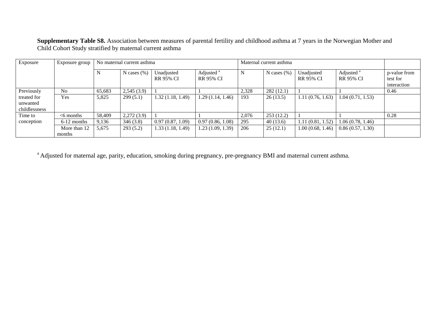**Supplementary Table S8.** Association between measures of parental fertility and childhood asthma at 7 years in the Norwegian Mother and Child Cohort Study stratified by maternal current asthma

| Exposure                                 | Exposure group         |        | No maternal current asthma |                                |                                           | Maternal current asthma |                 |                                |                                           |                                         |
|------------------------------------------|------------------------|--------|----------------------------|--------------------------------|-------------------------------------------|-------------------------|-----------------|--------------------------------|-------------------------------------------|-----------------------------------------|
|                                          |                        | N      | N cases $(\%)$             | Unadjusted<br><b>RR 95% CI</b> | Adjusted <sup>a</sup><br><b>RR 95% CI</b> | N                       | N cases $(\% )$ | Unadjusted<br><b>RR 95% CI</b> | Adjusted <sup>a</sup><br><b>RR 95% CI</b> | p-value from<br>test for<br>interaction |
| Previously                               | N <sub>o</sub>         | 65,683 | 2,545(3.9)                 |                                |                                           | 2,328                   | 282(12.1)       |                                |                                           | 0.46                                    |
| treated for<br>unwanted<br>childlessness | Yes                    | 5,825  | 299(5.1)                   | 1.32(1.18, 1.49)               | 1.29(1.14, 1.46)                          | 193                     | 26(13.5)        | 1.11(0.76, 1.63)               | 1.04(0.71, 1.53)                          |                                         |
| Time to                                  | $<$ 6 months           | 58,409 | 2,272(3.9)                 |                                |                                           | 2,076                   | 253(12.2)       |                                |                                           | 0.28                                    |
| conception                               | $6-12$ months          | 9,136  | 346(3.8)                   | 0.97(0.87, 1.09)               | 0.97(0.86, 1.08)                          | 295                     | 40(13.6)        | 1.11(0.81, 1.52)               | 1.06(0.78, 1.46)                          |                                         |
|                                          | More than 12<br>months | 5,675  | 293(5.2)                   | 1.33(1.18, 1.49)               | 1.23(1.09, 1.39)                          | 206                     | 25(12.1)        | 1.00(0.68, 1.46)               | 0.86(0.57, 1.30)                          |                                         |

<sup>a</sup> Adjusted for maternal age, parity, education, smoking during pregnancy, pre-pregnancy BMI and maternal current asthma.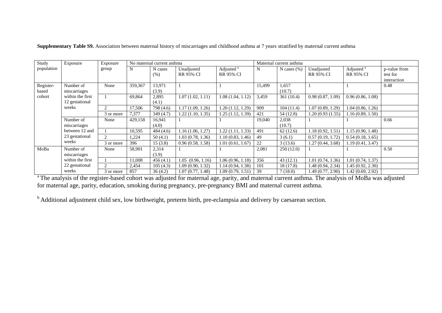| Study      | Exposure         | Exposure       |         | No maternal current asthma |                                |                                           |             | Maternal current asthma |                                |                                           |                          |
|------------|------------------|----------------|---------|----------------------------|--------------------------------|-------------------------------------------|-------------|-------------------------|--------------------------------|-------------------------------------------|--------------------------|
| population |                  | group          | N       | N cases<br>(% )            | Unadjusted<br><b>RR 95% CI</b> | Adjusted <sup>a</sup><br><b>RR 95% CI</b> | $\mathbf N$ | N cases $(\% )$         | Unadjusted<br><b>RR 95% CI</b> | Adjusted <sup>a</sup><br><b>RR 95% CI</b> | p-value from<br>test for |
|            |                  |                |         |                            |                                |                                           |             |                         |                                |                                           | interaction              |
| Register-  | Number of        | None           | 359,367 | 13,971                     |                                |                                           | 15,499      | 1,657                   |                                |                                           | 0.48                     |
| based      | miscarriages     |                |         | (3.9)                      |                                |                                           |             | (10.7)                  |                                |                                           |                          |
| cohort     | within the first |                | 69.864  | 2,895                      | 1.07(1.02, 1.11)               | 1.08(1.04, 1.12)                          | 3,459       | 361(10.4)               | 0.98(0.87, 1.09)               | 0.96(0.86, 1.08)                          |                          |
|            | 12 gestational   |                |         | (4.1)                      |                                |                                           |             |                         |                                |                                           |                          |
|            | weeks            |                | 17,506  | 798 (4.6)                  | 1.17(1.09, 1.26)               | 1.20 (1.12, 1.29)                         | 909         | 104(11.4)               | 1.07(0.89, 1.29)               | 1.04(0.86, 1.26)                          |                          |
|            |                  | 3 or more      | 7,377   | 349(4.7)                   | 1.22(1.10, 1.35)               | 1.25 (1.12, 1.39)                         | 421         | 54 (12.8)               | 1.20(0.93(1.55))               | 1.16(0.89, 1.50)                          |                          |
|            | Number of        | None           | 429,158 | 16,941                     |                                |                                           | 19,040      | 2,038                   |                                |                                           | 0.66                     |
|            | miscarriages     |                |         | (4.0)                      |                                |                                           |             | (10.7)                  |                                |                                           |                          |
|            | between 12 and   |                | 10,595  | 484(4.6)                   | 1.16(1.06, 1.27)               | 1.22(1.11, 1.33)                          | 491         | 62(12.6)                | 1.18(0.92, 1.51)               | 1.15(0.90, 1.48)                          |                          |
|            | 23 gestational   | 2              | 1,224   | 50(4.1)                    | 1.03(0.78, 1.36)               | 1.10(0.83, 1.46)                          | 49          | 3(6.1)                  | 0.57(0.19, 1.72)               | 0.54(0.18, 1.65)                          |                          |
|            | weeks            | 3 or more      | 396     | 15(3.8)                    | 0.96(0.58, 1.58)               | 1.01(0.61, 1.67)                          | 22          | 3(13.6)                 | 1.27 (0.44, 3.68)              | 1.19(0.41, 3.47)                          |                          |
| MoBa       | Number of        | None           | 58,901  | 2,314                      |                                |                                           | 2,081       | 250(12.0)               |                                |                                           | 0.50                     |
|            | miscarriages     |                |         | (3.9)                      |                                |                                           |             |                         |                                |                                           |                          |
|            | within the first |                | 11,008  | 456(4.1)                   | 1.05(0.96, 1.16)               | 1.06(0.96, 1.18)                          | 356         | 43(12.1)                | 1.01(0.74, 1.36)               | 1.01(0.74, 1.37)                          |                          |
|            | 22 gestational   | $\mathfrak{D}$ | 2,454   | 105(4.3)                   | 1.09(0.90, 1.32)               | 1.14 (0.94, 1.38)                         | 101         | 18(17.8)                | 1.48 (0.94, 2.34)              | 1.45(0.92, 2.30)                          |                          |
|            | weeks            | 3 or more      | 857     | 36(4.2)                    | 1.07(0.77, 1.48)               | 1.09(0.79, 1.51)                          | 39          | 7(18.0)                 | 1.49 (0.77, 2.90)              | 1.42(0.69, 2.92)                          |                          |

**Supplementary Table S9.** Association between maternal history of miscarriages and childhood asthma at 7 years stratified by maternal current asthma

<sup>a</sup>The analysis of the register-based cohort was adjusted for maternal age, parity, and maternal current asthma. The analysis of MoBa was adjusted for maternal age, parity, education, smoking during pregnancy, pre-pregnancy BMI and maternal current asthma.

<sup>b</sup> Additional adjustment child sex, low birthweight, preterm birth, pre-eclampsia and delivery by caesarean section.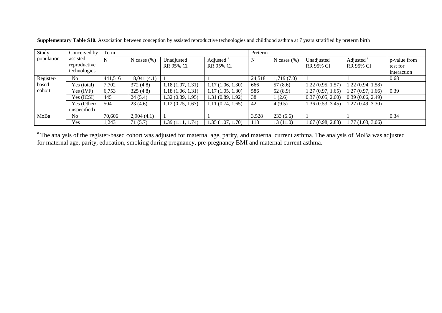| Study      | Conceived by                             | Term    |                 |                                |                                           | Preterm |                |                                |                                           |                                         |
|------------|------------------------------------------|---------|-----------------|--------------------------------|-------------------------------------------|---------|----------------|--------------------------------|-------------------------------------------|-----------------------------------------|
| population | assisted<br>reproductive<br>technologies |         | N cases $(\% )$ | Unadjusted<br><b>RR 95% CI</b> | Adjusted <sup>a</sup><br><b>RR 95% CI</b> | N       | N cases $(\%)$ | Unadjusted<br><b>RR 95% CI</b> | Adjusted <sup>a</sup><br><b>RR 95% CI</b> | p-value from<br>test for<br>interaction |
| Register-  | No.                                      | 441,516 | 18,041(4.1)     |                                |                                           | 24,518  | 1,719(7.0)     |                                |                                           | 0.68                                    |
| based      | Yes (total)                              | 7,702   | 372(4.8)        | 1.18(1.07, 1.31)               | 1.17(1.06, 1.30)                          | 666     | 57 (8.6)       | 1.22(0.95, 1.57)               | 1.22(0.94, 1.58)                          |                                         |
| cohort     | Yes (IVF)                                | 6,753   | 325(4.8)        | 1.18(1.06, 1.31)               | 1.17(1.05, 1.30)                          | 586     | 52(8.9)        | 1.27(0.97, 1.65)               | 1.27(0.97, 1.66)                          | 0.39                                    |
|            | Yes (ICSI)                               | 445     | 24(5.4)         | 1.32(0.89, 1.95)               | 1.31(0.89, 1.92)                          | 38      | 1(2.6)         | 0.37(0.05, 2.60)               | 0.39(0.06, 2.49)                          |                                         |
|            | Yes (Other/                              | 504     | 23(4.6)         | 1.12(0.75, 1.67)               | 1.11(0.74, 1.65)                          | 42      | 4(9.5)         | 1.36 (0.53, 3.45)              | 1.27(0.49, 3.30)                          |                                         |
|            | unspecified)                             |         |                 |                                |                                           |         |                |                                |                                           |                                         |
| MoBa       | No                                       | 70,606  | 2,904(4.1)      |                                |                                           | 3,528   | 233(6.6)       |                                |                                           | 0.34                                    |
|            | Yes                                      | .243    | 71(5.7)         | 1.39(1.11, 1.74)               | 1.35(1.07, 1.70)                          | 118     | 13(11.0)       | 1.67(0.98, 2.83)               | 1.77(1.03, 3.06)                          |                                         |

**Supplementary Table S10.** Association between conception by assisted reproductive technologies and childhood asthma at 7 years stratified by preterm birth

<sup>a</sup>The analysis of the register-based cohort was adjusted for maternal age, parity, and maternal current asthma. The analysis of MoBa was adjusted for maternal age, parity, education, smoking during pregnancy, pre-pregnancy BMI and maternal current asthma.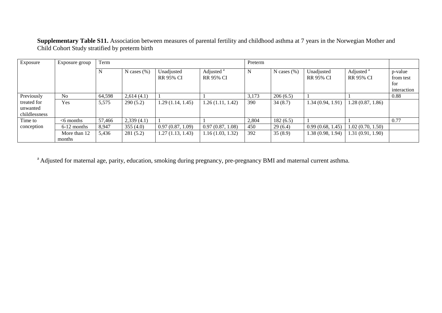**Supplementary Table S11.** Association between measures of parental fertility and childhood asthma at 7 years in the Norwegian Mother and Child Cohort Study stratified by preterm birth

| Exposure                                 | Exposure group         | Term   |                 |                   |                       | Preterm |                 |                   |                       |             |
|------------------------------------------|------------------------|--------|-----------------|-------------------|-----------------------|---------|-----------------|-------------------|-----------------------|-------------|
|                                          |                        | N      | N cases $(\% )$ | Unadjusted        | Adjusted <sup>a</sup> | N       | N cases $(\% )$ | Unadjusted        | Adjusted <sup>a</sup> | p-value     |
|                                          |                        |        |                 | <b>RR 95% CI</b>  | <b>RR 95% CI</b>      |         |                 | <b>RR 95% CI</b>  | <b>RR 95% CI</b>      | from test   |
|                                          |                        |        |                 |                   |                       |         |                 |                   |                       | for         |
|                                          |                        |        |                 |                   |                       |         |                 |                   |                       | interaction |
| Previously                               | No.                    | 64,598 | 2,614(4.1)      |                   |                       | 3,173   | 206(6.5)        |                   |                       | 0.88        |
| treated for<br>unwanted<br>childlessness | Yes                    | 5,575  | 290(5.2)        | 1.29 (1.14, 1.45) | 1.26(1.11, 1.42)      | 390     | 34(8.7)         | 1.34(0.94, 1.91)  | 1.28(0.87, 1.86)      |             |
| Time to                                  | $<$ 6 months           | 57,466 | 2,339(4.1)      |                   |                       | 2,804   | 182(6.5)        |                   |                       | 0.77        |
| conception                               | $6-12$ months          | 8,947  | 355(4.0)        | 0.97(0.87, 1.09)  | 0.97(0.87, 1.08)      | 450     | 29(6.4)         | 0.99(0.68, 1.45)  | 1.02(0.70, 1.50)      |             |
|                                          | More than 12<br>months | 5,436  | 281(5.2)        | 1.27 (1.13, 1.43) | 1.16(1.03, 1.32)      | 392     | 35(8.9)         | 1.38 (0.98, 1.94) | 1.31(0.91, 1.90)      |             |

<sup>a</sup> Adjusted for maternal age, parity, education, smoking during pregnancy, pre-pregnancy BMI and maternal current asthma.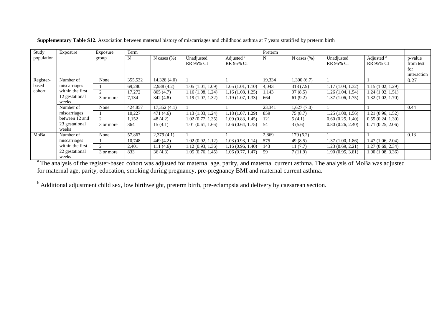| Study                        | Exposure                | Exposure       | Term    |                 |                                |                                           | Preterm |                 |                                |                                           |                      |
|------------------------------|-------------------------|----------------|---------|-----------------|--------------------------------|-------------------------------------------|---------|-----------------|--------------------------------|-------------------------------------------|----------------------|
| population                   |                         | group          | N       | N cases $(\% )$ | Unadjusted<br><b>RR 95% CI</b> | Adjusted <sup>a</sup><br><b>RR 95% CI</b> | N       | N cases $(\% )$ | Unadjusted<br><b>RR 95% CI</b> | Adjusted <sup>a</sup><br><b>RR 95% CI</b> | p-value<br>from test |
|                              |                         |                |         |                 |                                |                                           |         |                 |                                |                                           | for<br>interaction   |
| Register-<br>based<br>cohort | Number of               | None           | 355,532 | 14,328(4.0)     |                                |                                           | 19,334  | 1,300(6.7)      |                                |                                           | 0.27                 |
|                              | miscarriages            |                | 69,280  | 2,938(4.2)      | 1.05(1.01, 1.09)               | 1.05(1.01, 1.10)                          | 4,043   | 318(7.9)        | 1.17 (1.04, 1.32)              | 1.15(1.02, 1.29)                          |                      |
|                              | within the first        | $\mathfrak{D}$ | 17,272  | 805(4.7)        | 1.16(1.08, 1.24)               | 1.16 (1.08, 1.25)                         | 1,143   | 97(8.5)         | 1.26(1.04, 1.54)               | 1.24(1.02, 1.51)                          |                      |
|                              | 12 gestational<br>weeks | 3 or more      | 7,134   | 342(4.8)        | 1.19(1.07, 1.32)               | 1.19 (1.07, 1.33)                         | 664     | 61(9.2)         | 1.37 (1.06, 1.75)              | 1.32(1.02, 1.70)                          |                      |
|                              | Number of               | None           | 424,857 | 17,352(4.1)     |                                |                                           | 23,341  | 1,627(7.0)      |                                |                                           | 0.44                 |
|                              | miscarriages            |                | 10,227  | 471 (4.6)       | 1.13(1.03, 1.24)               | 1.18 (1.07, 1.29)                         | 859     | 75(8.7)         | 1.25 (1.00, 1.56)              | 1.21(0.96, 1.52)                          |                      |
|                              | between 12 and          | $\mathfrak{D}$ | 1,152   | 48 (4.2)        | 1.02(0.77, 1.35)               | 1.09 (0.83, 1.45)                         | 121     | 5(4.1)          | 0.60(0.25, 1.40)               | 0.55(0.24, 1.30)                          |                      |
|                              | 23 gestational<br>weeks | 3 or more      | 364     | 15(4.1)         | 1.01(0.61, 1.66)               | 1.06 (0.64, 1.75)                         | -54     | 3(5.6)          | 0.80(0.26, 2.40)               | 0.71(0.25, 2.06)                          |                      |
| MoBa                         | Number of               | None           | 57,867  | 2,379(4.1)      |                                |                                           | 2,869   | 179(6.2)        |                                |                                           | 0.13                 |
|                              | miscarriages            |                | 10,748  | 449(4.2)        | 1.02(0.92, 1.12)               | 1.03 (0.93, 1.14)                         | 575     | 49 $(8.5)$      | 1.37 (1.00, 1.86)              | 1.47(1.06, 2.04)                          |                      |
|                              | within the first        | $\mathfrak{D}$ | 2,401   | 111(4.6)        | 1.12(0.93, 1.36)               | 1.16 (0.96, 1.40)                         | 143     | 11(7.7)         | 1.23 (0.69, 2.21)              | 1.27(0.69, 2.34)                          |                      |
|                              | 22 gestational<br>weeks | 3 or more      | 833     | 36(4.3)         | 1.05(0.76, 1.45)               | 1.06(0.77, 1.47)                          | 59      | 7(11.9)         | 1.90(0.95, 3.81)               | 1.90(1.08, 3.36)                          |                      |

**Supplementary Table S12.** Association between maternal history of miscarriages and childhood asthma at 7 years stratified by preterm birth

<sup>a</sup>The analysis of the register-based cohort was adjusted for maternal age, parity, and maternal current asthma. The analysis of MoBa was adjusted for maternal age, parity, education, smoking during pregnancy, pre-pregnancy BMI and maternal current asthma.

<sup>b</sup> Additional adjustment child sex, low birthweight, preterm birth, pre-eclampsia and delivery by caesarean section.